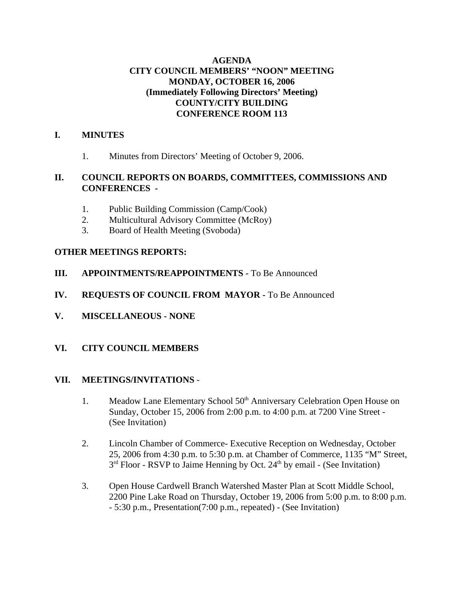# **AGENDA CITY COUNCIL MEMBERS' "NOON" MEETING MONDAY, OCTOBER 16, 2006 (Immediately Following Directors' Meeting) COUNTY/CITY BUILDING CONFERENCE ROOM 113**

# **I. MINUTES**

1. Minutes from Directors' Meeting of October 9, 2006.

# **II. COUNCIL REPORTS ON BOARDS, COMMITTEES, COMMISSIONS AND CONFERENCES -**

- 1. Public Building Commission (Camp/Cook)
- 2. Multicultural Advisory Committee (McRoy)
- 3. Board of Health Meeting (Svoboda)

## **OTHER MEETINGS REPORTS:**

- **III.** APPOINTMENTS/REAPPOINTMENTS To Be Announced
- **IV. REQUESTS OF COUNCIL FROM MAYOR -** To Be Announced
- **V. MISCELLANEOUS NONE**
- **VI. CITY COUNCIL MEMBERS**

### **VII. MEETINGS/INVITATIONS** -

- 1. Meadow Lane Elementary School 50<sup>th</sup> Anniversary Celebration Open House on Sunday, October 15, 2006 from 2:00 p.m. to 4:00 p.m. at 7200 Vine Street - (See Invitation)
- 2. Lincoln Chamber of Commerce- Executive Reception on Wednesday, October 25, 2006 from 4:30 p.m. to 5:30 p.m. at Chamber of Commerce, 1135 "M" Street,  $3<sup>rd</sup>$  Floor - RSVP to Jaime Henning by Oct. 24<sup>th</sup> by email - (See Invitation)
- 3. Open House Cardwell Branch Watershed Master Plan at Scott Middle School, 2200 Pine Lake Road on Thursday, October 19, 2006 from 5:00 p.m. to 8:00 p.m. - 5:30 p.m., Presentation(7:00 p.m., repeated) - (See Invitation)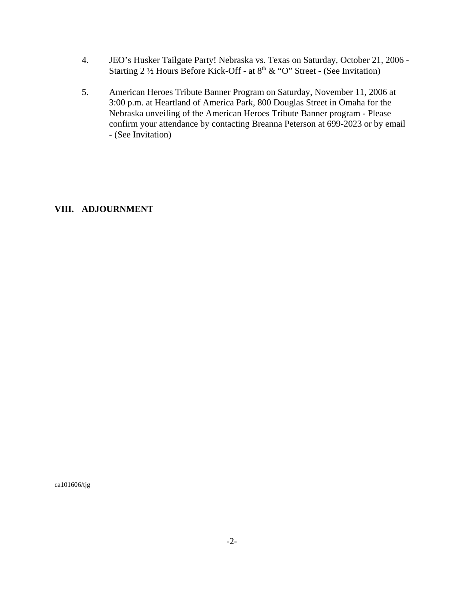- 4. JEO's Husker Tailgate Party! Nebraska vs. Texas on Saturday, October 21, 2006 Starting 2 ½ Hours Before Kick-Off - at 8<sup>th</sup> & "O" Street - (See Invitation)
- 5. American Heroes Tribute Banner Program on Saturday, November 11, 2006 at 3:00 p.m. at Heartland of America Park, 800 Douglas Street in Omaha for the Nebraska unveiling of the American Heroes Tribute Banner program - Please confirm your attendance by contacting Breanna Peterson at 699-2023 or by email - (See Invitation)

## **VIII. ADJOURNMENT**

ca101606/tjg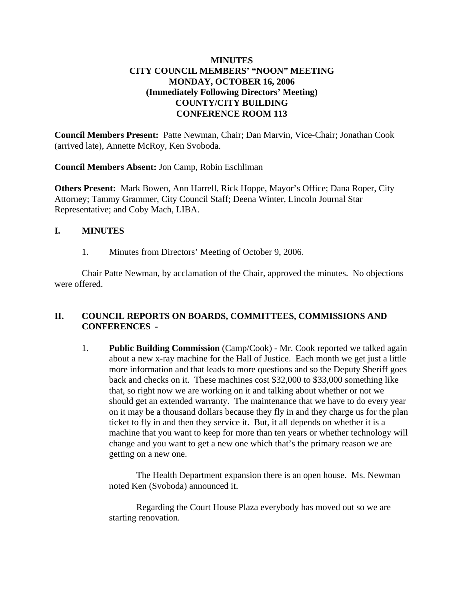# **MINUTES CITY COUNCIL MEMBERS' "NOON" MEETING MONDAY, OCTOBER 16, 2006 (Immediately Following Directors' Meeting) COUNTY/CITY BUILDING CONFERENCE ROOM 113**

**Council Members Present:** Patte Newman, Chair; Dan Marvin, Vice-Chair; Jonathan Cook (arrived late), Annette McRoy, Ken Svoboda.

**Council Members Absent:** Jon Camp, Robin Eschliman

**Others Present:** Mark Bowen, Ann Harrell, Rick Hoppe, Mayor's Office; Dana Roper, City Attorney; Tammy Grammer, City Council Staff; Deena Winter, Lincoln Journal Star Representative; and Coby Mach, LIBA.

### **I. MINUTES**

1. Minutes from Directors' Meeting of October 9, 2006.

Chair Patte Newman, by acclamation of the Chair, approved the minutes. No objections were offered.

## **II. COUNCIL REPORTS ON BOARDS, COMMITTEES, COMMISSIONS AND CONFERENCES -**

1. **Public Building Commission** (Camp/Cook) - Mr. Cook reported we talked again about a new x-ray machine for the Hall of Justice. Each month we get just a little more information and that leads to more questions and so the Deputy Sheriff goes back and checks on it. These machines cost \$32,000 to \$33,000 something like that, so right now we are working on it and talking about whether or not we should get an extended warranty. The maintenance that we have to do every year on it may be a thousand dollars because they fly in and they charge us for the plan ticket to fly in and then they service it. But, it all depends on whether it is a machine that you want to keep for more than ten years or whether technology will change and you want to get a new one which that's the primary reason we are getting on a new one.

The Health Department expansion there is an open house. Ms. Newman noted Ken (Svoboda) announced it.

Regarding the Court House Plaza everybody has moved out so we are starting renovation.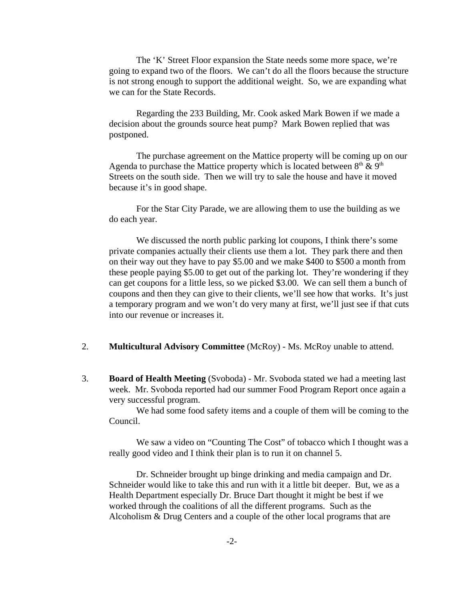The 'K' Street Floor expansion the State needs some more space, we're going to expand two of the floors. We can't do all the floors because the structure is not strong enough to support the additional weight. So, we are expanding what we can for the State Records.

Regarding the 233 Building, Mr. Cook asked Mark Bowen if we made a decision about the grounds source heat pump? Mark Bowen replied that was postponed.

The purchase agreement on the Mattice property will be coming up on our Agenda to purchase the Mattice property which is located between  $8<sup>th</sup>$  &  $9<sup>th</sup>$ Streets on the south side. Then we will try to sale the house and have it moved because it's in good shape.

For the Star City Parade, we are allowing them to use the building as we do each year.

We discussed the north public parking lot coupons, I think there's some private companies actually their clients use them a lot. They park there and then on their way out they have to pay \$5.00 and we make \$400 to \$500 a month from these people paying \$5.00 to get out of the parking lot. They're wondering if they can get coupons for a little less, so we picked \$3.00. We can sell them a bunch of coupons and then they can give to their clients, we'll see how that works. It's just a temporary program and we won't do very many at first, we'll just see if that cuts into our revenue or increases it.

- 2. **Multicultural Advisory Committee** (McRoy) Ms. McRoy unable to attend.
- 3. **Board of Health Meeting** (Svoboda) Mr. Svoboda stated we had a meeting last week. Mr. Svoboda reported had our summer Food Program Report once again a very successful program.

We had some food safety items and a couple of them will be coming to the Council.

We saw a video on "Counting The Cost" of tobacco which I thought was a really good video and I think their plan is to run it on channel 5.

Dr. Schneider brought up binge drinking and media campaign and Dr. Schneider would like to take this and run with it a little bit deeper. But, we as a Health Department especially Dr. Bruce Dart thought it might be best if we worked through the coalitions of all the different programs. Such as the Alcoholism & Drug Centers and a couple of the other local programs that are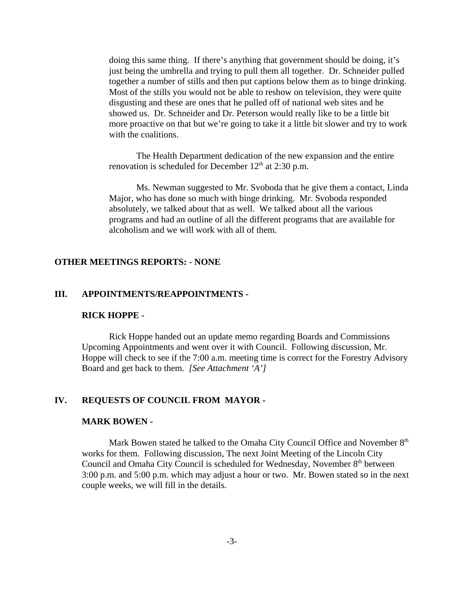doing this same thing. If there's anything that government should be doing, it's just being the umbrella and trying to pull them all together. Dr. Schneider pulled together a number of stills and then put captions below them as to binge drinking. Most of the stills you would not be able to reshow on television, they were quite disgusting and these are ones that he pulled off of national web sites and he showed us. Dr. Schneider and Dr. Peterson would really like to be a little bit more proactive on that but we're going to take it a little bit slower and try to work with the coalitions.

The Health Department dedication of the new expansion and the entire renovation is scheduled for December  $12<sup>th</sup>$  at 2:30 p.m.

Ms. Newman suggested to Mr. Svoboda that he give them a contact, Linda Major, who has done so much with binge drinking. Mr. Svoboda responded absolutely, we talked about that as well. We talked about all the various programs and had an outline of all the different programs that are available for alcoholism and we will work with all of them.

#### **OTHER MEETINGS REPORTS:** - **NONE**

### **III. APPOINTMENTS/REAPPOINTMENTS -**

#### **RICK HOPPE -**

Rick Hoppe handed out an update memo regarding Boards and Commissions Upcoming Appointments and went over it with Council. Following discussion, Mr. Hoppe will check to see if the 7:00 a.m. meeting time is correct for the Forestry Advisory Board and get back to them. *[See Attachment 'A']* 

## **IV. REQUESTS OF COUNCIL FROM MAYOR -**

#### **MARK BOWEN -**

Mark Bowen stated he talked to the Omaha City Council Office and November  $8<sup>th</sup>$ works for them. Following discussion, The next Joint Meeting of the Lincoln City Council and Omaha City Council is scheduled for Wednesday, November 8<sup>th</sup> between 3:00 p.m. and 5:00 p.m. which may adjust a hour or two. Mr. Bowen stated so in the next couple weeks, we will fill in the details.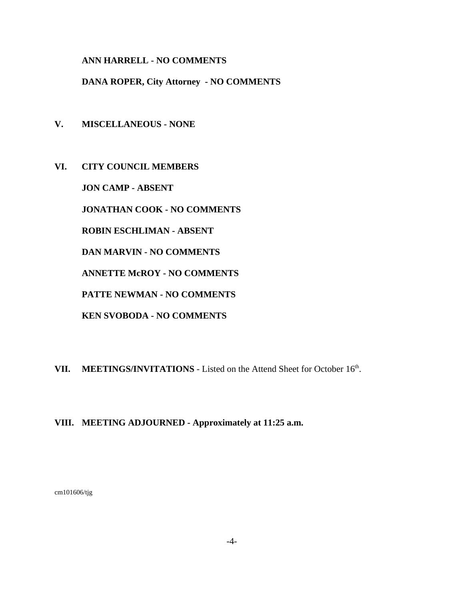**ANN HARRELL - NO COMMENTS** 

**DANA ROPER, City Attorney - NO COMMENTS** 

- **V. MISCELLANEOUS NONE**
- **VI. CITY COUNCIL MEMBERS**

**JON CAMP - ABSENT** 

**JONATHAN COOK - NO COMMENTS** 

**ROBIN ESCHLIMAN - ABSENT** 

**DAN MARVIN - NO COMMENTS**

**ANNETTE McROY - NO COMMENTS**

**PATTE NEWMAN - NO COMMENTS**

**KEN SVOBODA - NO COMMENTS** 

VII. MEETINGS/INVITATIONS - Listed on the Attend Sheet for October 16<sup>th</sup>.

## **VIII. MEETING ADJOURNED - Approximately at 11:25 a.m.**

cm101606/tjg